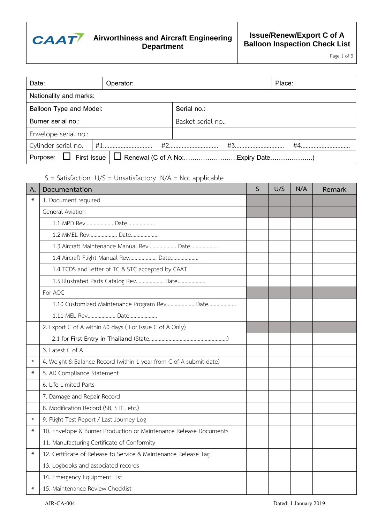

Page 1 of 3

| Date:                          |                        |  | Operator: |                    |  |  | Place: |  |
|--------------------------------|------------------------|--|-----------|--------------------|--|--|--------|--|
|                                | Nationality and marks: |  |           |                    |  |  |        |  |
| <b>Balloon Type and Model:</b> |                        |  |           | Serial no.:        |  |  |        |  |
| Burner serial no.:             |                        |  |           | Basket serial no.: |  |  |        |  |
| Envelope serial no.:           |                        |  |           |                    |  |  |        |  |
| Cylinder serial no.            |                        |  |           | #2                 |  |  | #4     |  |
|                                |                        |  |           |                    |  |  |        |  |

S = Satisfaction U/S = Unsatisfactory N/A = Not applicable

| A.     | Documentation                                                      | S | U/S | N/A | Remark |
|--------|--------------------------------------------------------------------|---|-----|-----|--------|
| $\ast$ | 1. Document required                                               |   |     |     |        |
|        | <b>General Aviation</b>                                            |   |     |     |        |
|        | 1.1 MPD Rev Date                                                   |   |     |     |        |
|        | 1.2 MMEL Rev Date                                                  |   |     |     |        |
|        | 1.3 Aircraft Maintenance Manual Rev Date                           |   |     |     |        |
|        | 1.4 Aircraft Flight Manual Rev Date                                |   |     |     |        |
|        | 1.4 TCDS and letter of TC & STC accepted by CAAT                   |   |     |     |        |
|        | 1.5 Illustrated Parts Catalog Rev Date                             |   |     |     |        |
|        | For AOC                                                            |   |     |     |        |
|        | 1.10 Customized Maintenance Program Rev Date                       |   |     |     |        |
|        | 1.11 MEL Rev Date                                                  |   |     |     |        |
|        | 2. Export C of A within 60 days (For Issue C of A Only)            |   |     |     |        |
|        |                                                                    |   |     |     |        |
|        | 3. Latest C of A                                                   |   |     |     |        |
| $\ast$ | 4. Weight & Balance Record (within 1 year from C of A submit date) |   |     |     |        |
| $\ast$ | 5. AD Compliance Statement                                         |   |     |     |        |
|        | 6. Life Limited Parts                                              |   |     |     |        |
|        | 7. Damage and Repair Record                                        |   |     |     |        |
|        | 8. Modification Record (SB, STC, etc.)                             |   |     |     |        |
| $\ast$ | 9. Flight Test Report / Last Journey Log                           |   |     |     |        |
| $\ast$ | 10. Envelope & Burner Production or Maintenance Release Documents  |   |     |     |        |
|        | 11. Manufacturing Certificate of Conformity                        |   |     |     |        |
| $\ast$ | 12. Certificate of Release to Service & Maintenance Release Tag    |   |     |     |        |
|        | 13. Logbooks and associated records                                |   |     |     |        |
|        | 14. Emergency Equipment List                                       |   |     |     |        |
|        | 15. Maintenance Review Checklist                                   |   |     |     |        |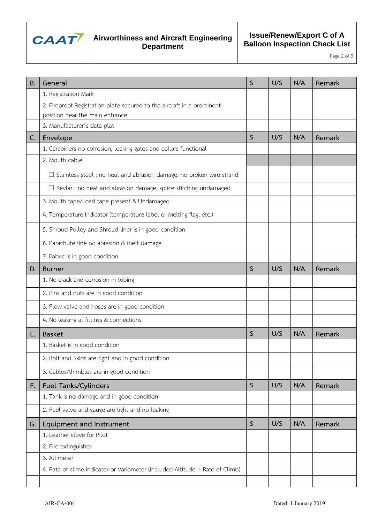

Page 2 of 3

| <b>B.</b> | General                                                                      | S            | U/S | N/A | Remark |
|-----------|------------------------------------------------------------------------------|--------------|-----|-----|--------|
|           | 1. Registration Mark                                                         |              |     |     |        |
|           | 2. Fireproof Registration plate secured to the aircraft in a prominent       |              |     |     |        |
|           | position near the main entrance                                              |              |     |     |        |
|           | 3. Manufacturer's data plat                                                  |              |     |     |        |
| C.        | Envelope                                                                     | S            | U/S | N/A | Remark |
|           | 1. Carabiners no corrosion, locking gates and collars functional             |              |     |     |        |
|           | 2. Mouth cable                                                               |              |     |     |        |
|           | $\Box$ Stainless steel; no heat and abrasion damage, no broken wire strand   |              |     |     |        |
|           | $\Box$ Kevlar; no heat and abrasion damage, splice stitching undamaged       |              |     |     |        |
|           | 3. Mouth tape/Load tape present & Undamaged                                  |              |     |     |        |
|           | 4. Temperature Indicator (temperature label or Melting flag, etc.)           |              |     |     |        |
|           | 5. Shroud Pulley and Shroud liner is in good condition                       |              |     |     |        |
|           | 6. Parachute line no abrasion & melt damage                                  |              |     |     |        |
|           | 7. Fabric is in good condition                                               |              |     |     |        |
| D.        | <b>Burner</b>                                                                | $\mathsf{S}$ | U/S | N/A | Remark |
|           | 1. No crack and corrosion in tubing                                          |              |     |     |        |
|           | 2. Pins and nuts are in good condition                                       |              |     |     |        |
|           | 3. Flow valve and hoses are in good condition                                |              |     |     |        |
|           | 4. No leaking at fittings & connections                                      |              |     |     |        |
| Е.        | <b>Basket</b>                                                                | S            | U/S | N/A | Remark |
|           | 1. Basket is in good condition                                               |              |     |     |        |
|           | 2. Bolt and Skids are tight and in good condition                            |              |     |     |        |
|           | 3. Cables/thimbles are in good condition                                     |              |     |     |        |
| F.        | Fuel Tanks/Cylinders                                                         | S            | U/S | N/A | Remark |
|           | 1. Tank is no damage and in good condition                                   |              |     |     |        |
|           | 2. Fuel valve and gauge are tight and no leaking                             |              |     |     |        |
| G.        | Equipment and Instrument                                                     | $\mathsf{S}$ | U/S | N/A | Remark |
|           | 1. Leather glove for Pilot                                                   |              |     |     |        |
|           | 2. Fire extinguisher                                                         |              |     |     |        |
|           | 3. Altimeter                                                                 |              |     |     |        |
|           | 4. Rate of clime indicator or Variometer (included Altitude + Rate of Climb) |              |     |     |        |
|           |                                                                              |              |     |     |        |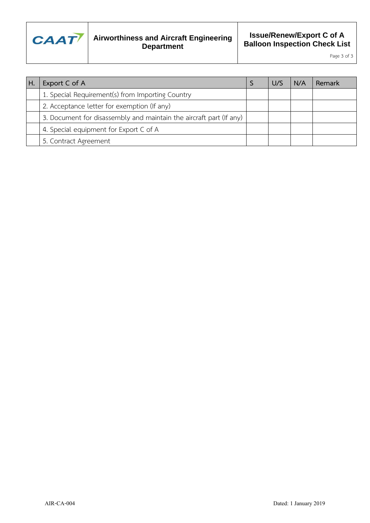

Page 3 of 3

| ΙH. | Export C of A                                                       | U/S | N/A | Remark |
|-----|---------------------------------------------------------------------|-----|-----|--------|
|     | 1. Special Requirement(s) from Importing Country                    |     |     |        |
|     | 2. Acceptance letter for exemption (If any)                         |     |     |        |
|     | 3. Document for disassembly and maintain the aircraft part (If any) |     |     |        |
|     | 4. Special equipment for Export C of A                              |     |     |        |
|     | 5. Contract Agreement                                               |     |     |        |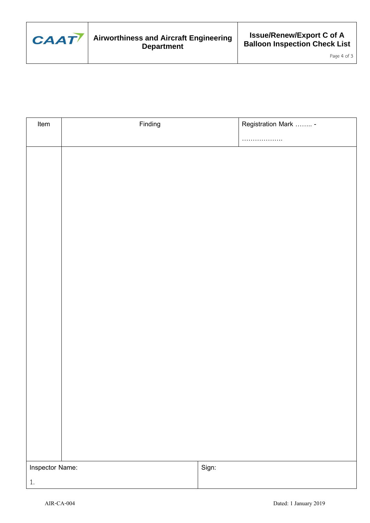

Page 4 of 3

| Item            | Finding | Registration Mark  - |
|-----------------|---------|----------------------|
|                 |         | . .<br>.             |
|                 |         |                      |
|                 |         |                      |
|                 |         |                      |
|                 |         |                      |
|                 |         |                      |
|                 |         |                      |
|                 |         |                      |
|                 |         |                      |
|                 |         |                      |
|                 |         |                      |
|                 |         |                      |
|                 |         |                      |
|                 |         |                      |
|                 |         |                      |
|                 |         |                      |
|                 |         |                      |
|                 |         |                      |
|                 |         |                      |
|                 |         |                      |
|                 |         |                      |
|                 |         |                      |
| Inspector Name: |         | Sign:                |
| $1. \,$         |         |                      |